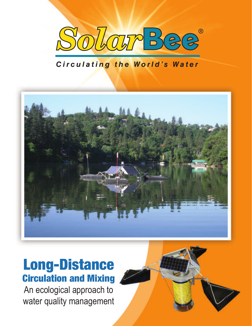

#### Circulating the World's Water



# Long-Distance Circulation and Mixing

An ecological approach to water quality management

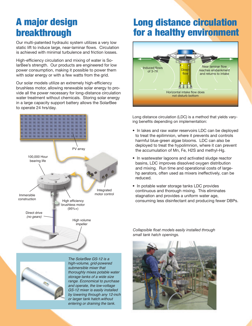# A major design breakthrough

Our multi-patented hydraulic system utilizes a very low static lift to induce large, near-laminar flows. Circulation is achieved with minimal turbulence and friction losses.

High-efficiency circulation and mixing of water is SolarBee's strength. Our products are engineered for low power consumption, making it possible to power them with solar energy or with a few watts from the grid.

Our solar models utilize an extremely high-efficiency brushless motor, allowing renewable solar energy to provide all the power necessary for long-distance circulation water treatment without chemicals. Storing solar energy in a large capacity support battery allows the SolarBee to operate 24 hrs/day.





The SolarBee GS-12 is a high-volume, grid-powered submersible mixer that thoroughly mixes potable water storage tanks of a wide size range. Economical to purchase and operate, the low-voltage GS-12 mixer is easily installed by lowering through any 12-inch or larger tank hatch.without entering or draining the tank.

## Long distance circulation for a healthy environment



Long distance circulation (LDC) is a method that yields varying benefits depending on implementation:

- In lakes and raw water reservoirs LDC can be deployed to treat the epilimnion, where it prevents and controls harmful blue-green algae blooms. LDC can also be deployed to treat the hypolimnion, where it can prevent the accumulation of Mn, Fe, H2S and methyl-Hg.
- In wastewater lagoons and activated sludge reactor basins, LDC improves dissolved oxygen distribution and mixing. Run time and operational costs of largehp aerators, often used as mixers ineffectively, can be reduced.
- In potable water storage tanks LDC provides continuous and thorough mixing. This eliminates stagnation and provides a uniform water age, consuming less disinfectant and producing fewer DBPs.

*Collapsible float models easily installed through small tank hatch openings.*

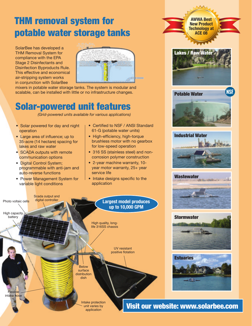# THM removal system for potable water storage tanks

SolarBee has developed a THM Removal System for compliance with the EPA Stage 2 Disinfectants and Disinfection Byproducts Rule. This effective and economical air-stripping system works in conjunction with SolarBee



mixers in potable water storage tanks. The system is modular and scalable, can be installed with little or no infrastructure changes.

#### Solar-powered unit features

*(Grid-powered units available for various applications)*

- Solar powered for day and night operation
- Large area of influence; up to 35-acre (14 hectare) spacing for lakes and raw water
- SCADA outputs with remote communication options
- Digital Control System; programmable with anti-jam and auto-reverse functions
- Power Management System for variable light conditions

• Certified to NSF / ANSI Standard 61-G (potable water units)

**Lakes / Raw Wate** 

**AWWA Best New Product Technology at ACE 08**

Potable Water

Industrial Water

**Wastewater** 

- High-efficiency, high-torque brushless motor with no gearbox for low-speed operation
- 316 SS (stainless steel) and noncorrosion polymer construction
- 2-year machine warranty, 10 year motor warranty, 25+ year service life
- Intake designs specific to the application

Visit our website: www.solarbee.com **Stormwater Estuaries** Photo voltaic cells High capacity battery UV resistant positive flotation **Flexible** intake hose Intake protection unit varies by application Below surface distribution dish High quality, longlife 316SS chassis **Largest model produces up to 10,000 GPM** Scada output and digital controller